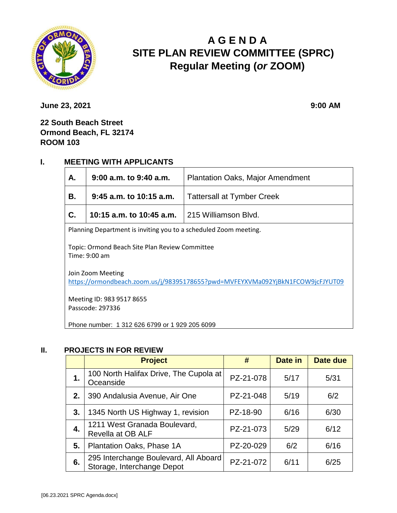

# **A G E N D A SITE PLAN REVIEW COMMITTEE (SPRC) Regular Meeting (***or* **ZOOM)**

**June 23, 2021** 9:00 AM

# **22 South Beach Street Ormond Beach, FL 32174 ROOM 103**

# **I. MEETING WITH APPLICANTS**

| А.                                                                                                  | 9:00 a.m. to 9:40 a.m.<br><b>Plantation Oaks, Major Amendment</b> |                      |  |  |  |
|-----------------------------------------------------------------------------------------------------|-------------------------------------------------------------------|----------------------|--|--|--|
| В.                                                                                                  | $9:45$ a.m. to 10:15 a.m.<br><b>Tattersall at Tymber Creek</b>    |                      |  |  |  |
| C.                                                                                                  | 10:15 a.m. to 10:45 a.m.                                          | 215 Williamson Blvd. |  |  |  |
| Planning Department is inviting you to a scheduled Zoom meeting.                                    |                                                                   |                      |  |  |  |
| Topic: Ormond Beach Site Plan Review Committee<br>Time: 9:00 am                                     |                                                                   |                      |  |  |  |
| Join Zoom Meeting<br>https://ormondbeach.zoom.us/j/98395178655?pwd=MVFEYXVMa092YjBkN1FCOW9jcFJYUT09 |                                                                   |                      |  |  |  |
|                                                                                                     |                                                                   |                      |  |  |  |
| Meeting ID: 983 9517 8655                                                                           |                                                                   |                      |  |  |  |
| Passcode: 297336                                                                                    |                                                                   |                      |  |  |  |
| Phone number: 1 312 626 6799 or 1 929 205 6099                                                      |                                                                   |                      |  |  |  |

#### **II. PROJECTS IN FOR REVIEW**

|    | <b>Project</b>                                                      | #         | Date in | Date due |
|----|---------------------------------------------------------------------|-----------|---------|----------|
| 1. | 100 North Halifax Drive, The Cupola at<br>Oceanside                 | PZ-21-078 | 5/17    | 5/31     |
| 2. | 390 Andalusia Avenue, Air One                                       | PZ-21-048 | 5/19    | 6/2      |
| 3. | 1345 North US Highway 1, revision                                   | PZ-18-90  | 6/16    | 6/30     |
| 4. | 1211 West Granada Boulevard,<br>Revella at OB ALF                   | PZ-21-073 | 5/29    | 6/12     |
| 5. | Plantation Oaks, Phase 1A                                           | PZ-20-029 | 6/2     | 6/16     |
| 6. | 295 Interchange Boulevard, All Aboard<br>Storage, Interchange Depot | PZ-21-072 | 6/11    | 6/25     |